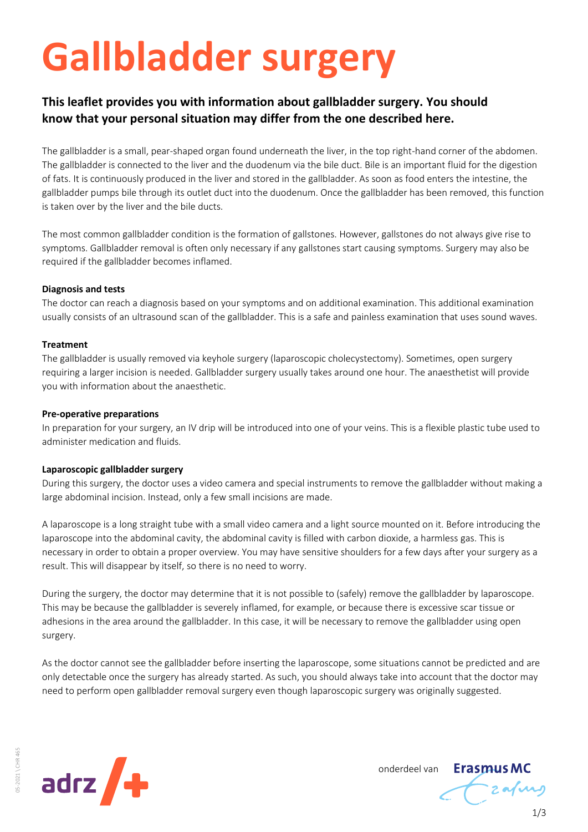# **Gallbladder surgery**

# **This leaflet provides you with information about gallbladder surgery. You should know that your personal situation may differ from the one described here.**

The gallbladder is a small, pear-shaped organ found underneath the liver, in the top right-hand corner of the abdomen. The gallbladder is connected to the liver and the duodenum via the bile duct. Bile is an important fluid for the digestion of fats. It is continuously produced in the liver and stored in the gallbladder. As soon as food enters the intestine, the gallbladder pumps bile through its outlet duct into the duodenum. Once the gallbladder has been removed, this function is taken over by the liver and the bile ducts.

The most common gallbladder condition is the formation of gallstones. However, gallstones do not always give rise to symptoms. Gallbladder removal is often only necessary if any gallstones start causing symptoms. Surgery may also be required if the gallbladder becomes inflamed.

# **Diagnosis and tests**

The doctor can reach a diagnosis based on your symptoms and on additional examination. This additional examination usually consists of an ultrasound scan of the gallbladder. This is a safe and painless examination that uses sound waves.

# **Treatment**

The gallbladder is usually removed via keyhole surgery (laparoscopic cholecystectomy). Sometimes, open surgery requiring a larger incision is needed. Gallbladder surgery usually takes around one hour. The anaesthetist will provide you with information about the anaesthetic.

#### **Pre-operative preparations**

In preparation for your surgery, an IV drip will be introduced into one of your veins. This is a flexible plastic tube used to administer medication and fluids.

#### **Laparoscopic gallbladder surgery**

During this surgery, the doctor uses a video camera and special instruments to remove the gallbladder without making a large abdominal incision. Instead, only a few small incisions are made.

A laparoscope is a long straight tube with a small video camera and a light source mounted on it. Before introducing the laparoscope into the abdominal cavity, the abdominal cavity is filled with carbon dioxide, a harmless gas. This is necessary in order to obtain a proper overview. You may have sensitive shoulders for a few days after your surgery as a result. This will disappear by itself, so there is no need to worry.

During the surgery, the doctor may determine that it is not possible to (safely) remove the gallbladder by laparoscope. This may be because the gallbladder is severely inflamed, for example, or because there is excessive scar tissue or adhesions in the area around the gallbladder. In this case, it will be necessary to remove the gallbladder using open surgery.

As the doctor cannot see the gallbladder before inserting the laparoscope, some situations cannot be predicted and are only detectable once the surgery has already started. As such, you should always take into account that the doctor may need to perform open gallbladder removal surgery even though laparoscopic surgery was originally suggested.



onderdeel van

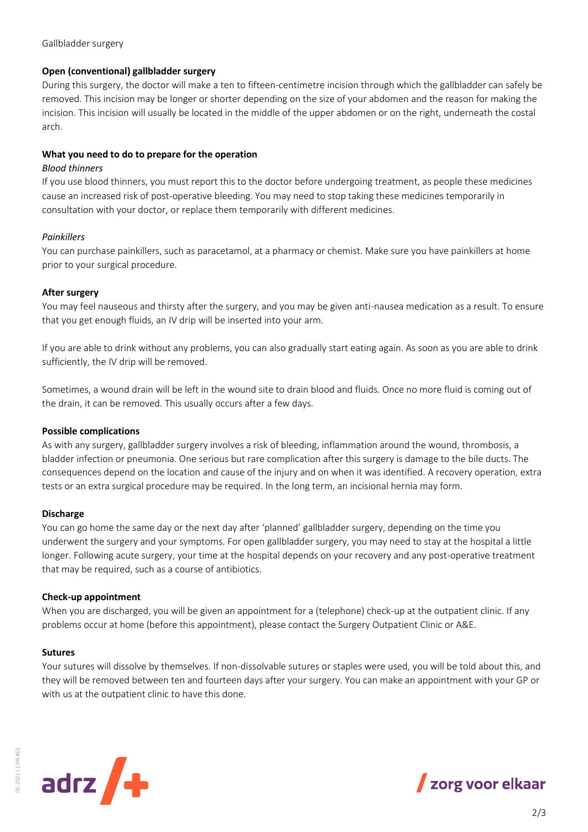Gallbladder surgery

#### **Open (conventional) gallbladder surgery**

During this surgery, the doctor will make a ten to fifteen-centimetre incision through which the gallbladder can safely be removed. This incision may be longer or shorter depending on the size of your abdomen and the reason for making the incision. This incision will usually be located in the middle of the upper abdomen or on the right, underneath the costal arch.

# **What you need to do to prepare for the operation**

#### *Blood thinners*

If you use blood thinners, you must report this to the doctor before undergoing treatment, as people these medicines cause an increased risk of post-operative bleeding. You may need to stop taking these medicines temporarily in consultation with your doctor, or replace them temporarily with different medicines.

# *Painkillers*

You can purchase painkillers, such as paracetamol, at a pharmacy or chemist. Make sure you have painkillers at home prior to your surgical procedure.

# **After surgery**

You may feel nauseous and thirsty after the surgery, and you may be given anti-nausea medication as a result. To ensure that you get enough fluids, an IV drip will be inserted into your arm.

If you are able to drink without any problems, you can also gradually start eating again. As soon as you are able to drink sufficiently, the IV drip will be removed.

Sometimes, a wound drain will be left in the wound site to drain blood and fluids. Once no more fluid is coming out of the drain, it can be removed. This usually occurs after a few days.

#### **Possible complications**

As with any surgery, gallbladder surgery involves a risk of bleeding, inflammation around the wound, thrombosis, a bladder infection or pneumonia. One serious but rare complication after this surgery is damage to the bile ducts. The consequences depend on the location and cause of the injury and on when it was identified. A recovery operation, extra tests or an extra surgical procedure may be required. In the long term, an incisional hernia may form.

#### **Discharge**

You can go home the same day or the next day after 'planned' gallbladder surgery, depending on the time you underwent the surgery and your symptoms. For open gallbladder surgery, you may need to stay at the hospital a little longer. Following acute surgery, your time at the hospital depends on your recovery and any post-operative treatment that may be required, such as a course of antibiotics.

#### **Check-up appointment**

When you are discharged, you will be given an appointment for a (telephone) check-up at the outpatient clinic. If any problems occur at home (before this appointment), please contact the Surgery Outpatient Clinic or A&E.

#### **Sutures**

05-2021 \ CHR 465

05-2021 \CHR 465

Your sutures will dissolve by themselves. If non-dissolvable sutures or staples were used, you will be told about this, and they will be removed between ten and fourteen days after your surgery. You can make an appointment with your GP or with us at the outpatient clinic to have this done.